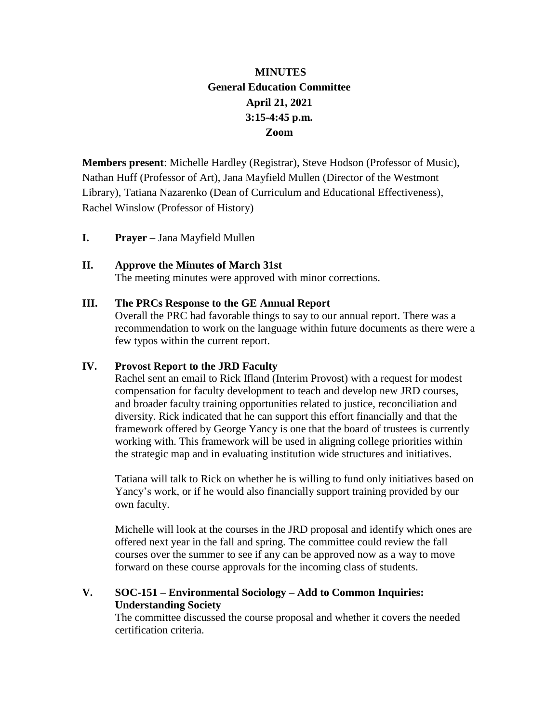# **MINUTES General Education Committee April 21, 2021 3:15-4:45 p.m. Zoom**

**Members present**: Michelle Hardley (Registrar), Steve Hodson (Professor of Music), Nathan Huff (Professor of Art), Jana Mayfield Mullen (Director of the Westmont Library), Tatiana Nazarenko (Dean of Curriculum and Educational Effectiveness), Rachel Winslow (Professor of History)

**I. Prayer** – Jana Mayfield Mullen

# **II. Approve the Minutes of March 31st**

The meeting minutes were approved with minor corrections.

#### **III. The PRCs Response to the GE Annual Report**

Overall the PRC had favorable things to say to our annual report. There was a recommendation to work on the language within future documents as there were a few typos within the current report.

#### **IV. Provost Report to the JRD Faculty**

Rachel sent an email to Rick Ifland (Interim Provost) with a request for modest compensation for faculty development to teach and develop new JRD courses, and broader faculty training opportunities related to justice, reconciliation and diversity. Rick indicated that he can support this effort financially and that the framework offered by George Yancy is one that the board of trustees is currently working with. This framework will be used in aligning college priorities within the strategic map and in evaluating institution wide structures and initiatives.

Tatiana will talk to Rick on whether he is willing to fund only initiatives based on Yancy's work, or if he would also financially support training provided by our own faculty.

Michelle will look at the courses in the JRD proposal and identify which ones are offered next year in the fall and spring. The committee could review the fall courses over the summer to see if any can be approved now as a way to move forward on these course approvals for the incoming class of students.

# **V. SOC-151 – Environmental Sociology – Add to Common Inquiries: Understanding Society**

The committee discussed the course proposal and whether it covers the needed certification criteria.